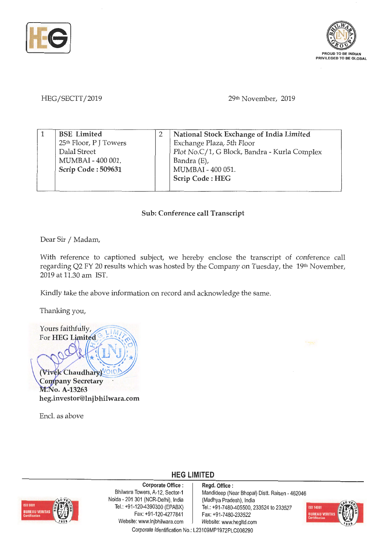



HEG/SECTT/2019

29th November, 2019

| <b>BSE</b> Limited                 | National Stock Exchange of India Limited     |
|------------------------------------|----------------------------------------------|
| 25 <sup>th</sup> Floor, P J Towers | Exchange Plaza, 5th Floor                    |
| Dalal Street                       | Plot No.C/1, G Block, Bandra - Kurla Complex |
| MUMBAI - 400 001.                  | Bandra (E),                                  |
| Scrip Code: 509631                 | MUMBAI - 400 051.                            |
|                                    | Scrip Code: HEG                              |
|                                    |                                              |

## **Sub: Conference call Transcript**

Dear Sir / Madam,

With reference to captioned subject, we hereby enclose the transcript of conference call regarding Q2 FY 20 results which was hosted by the Company on Tuesday, the 19th November, 2019 at 11.30 am IST.

Kindly take the above information on record and acknowledge the same.

Thanking you,

Yours faithfully, For **HEG** Limited **.J**  (Vivek Chaudhary)

**Company Secretary** M.No. A-13263 **heg.investor@lnjbhilwara.com** 

Encl. as above



**Corporate Office** : Bhilwara Towers, A-12, Sector-1 Noida - 201 301 (NCR-Delhi), India Tel.: +91-120-4390300 (EPABX) Fax: +91-120-4277841 Website: www.lnjbhilwara.com | Website: www.hegltd.com

**Regd. Office** : Mandideep (Near Bhopal) Distt. Raisen - 462046 (Madhya Pradesh), India Tel.: +91-7480-405500, 233524 to 233527 Fax: +91 -7480-233522



Corporate Identification No.: L23109MP1972PLC008290

**HEG LIMITED**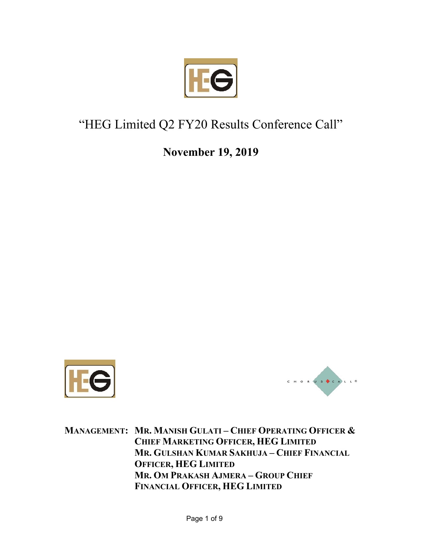

## "HEG Limited Q2 FY20 Results Conference Call"

**November 19, 2019** 





**MANAGEMENT: MR. MANISH GULATI – CHIEF OPERATING OFFICER & CHIEF MARKETING OFFICER, HEG LIMITED MR. GULSHAN KUMAR SAKHUJA – CHIEF FINANCIAL OFFICER, HEG LIMITED MR. OM PRAKASH AJMERA – GROUP CHIEF FINANCIAL OFFICER, HEG LIMITED**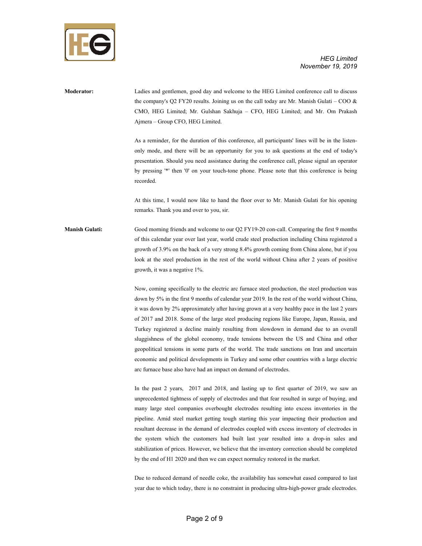

**Moderator:** Ladies and gentlemen, good day and welcome to the HEG Limited conference call to discuss the company's Q2 FY20 results. Joining us on the call today are Mr. Manish Gulati – COO  $\&$ CMO, HEG Limited; Mr. Gulshan Sakhuja – CFO, HEG Limited; and Mr. Om Prakash Ajmera – Group CFO, HEG Limited.

> As a reminder, for the duration of this conference, all participants' lines will be in the listenonly mode, and there will be an opportunity for you to ask questions at the end of today's presentation. Should you need assistance during the conference call, please signal an operator by pressing '\*' then '0' on your touch-tone phone. Please note that this conference is being recorded.

> At this time, I would now like to hand the floor over to Mr. Manish Gulati for his opening remarks. Thank you and over to you, sir.

**Manish Gulati:** Good morning friends and welcome to our Q2 FY19-20 con-call. Comparing the first 9 months of this calendar year over last year, world crude steel production including China registered a growth of 3.9% on the back of a very strong 8.4% growth coming from China alone, but if you look at the steel production in the rest of the world without China after 2 years of positive growth, it was a negative 1%.

> Now, coming specifically to the electric arc furnace steel production, the steel production was down by 5% in the first 9 months of calendar year 2019. In the rest of the world without China, it was down by 2% approximately after having grown at a very healthy pace in the last 2 years of 2017 and 2018. Some of the large steel producing regions like Europe, Japan, Russia, and Turkey registered a decline mainly resulting from slowdown in demand due to an overall sluggishness of the global economy, trade tensions between the US and China and other geopolitical tensions in some parts of the world. The trade sanctions on Iran and uncertain economic and political developments in Turkey and some other countries with a large electric arc furnace base also have had an impact on demand of electrodes.

> In the past 2 years, 2017 and 2018, and lasting up to first quarter of 2019, we saw an unprecedented tightness of supply of electrodes and that fear resulted in surge of buying, and many large steel companies overbought electrodes resulting into excess inventories in the pipeline. Amid steel market getting tough starting this year impacting their production and resultant decrease in the demand of electrodes coupled with excess inventory of electrodes in the system which the customers had built last year resulted into a drop-in sales and stabilization of prices. However, we believe that the inventory correction should be completed by the end of H1 2020 and then we can expect normalcy restored in the market.

> Due to reduced demand of needle coke, the availability has somewhat eased compared to last year due to which today, there is no constraint in producing ultra-high-power grade electrodes.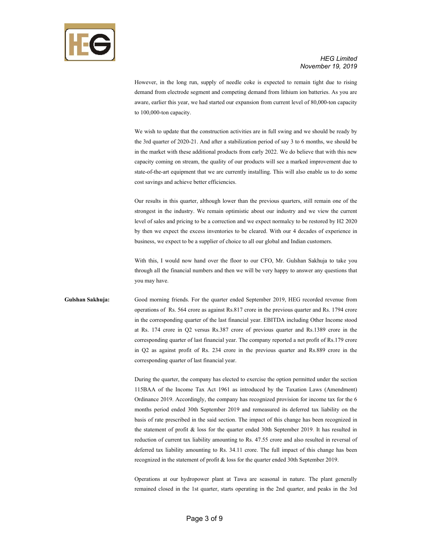

However, in the long run, supply of needle coke is expected to remain tight due to rising demand from electrode segment and competing demand from lithium ion batteries. As you are aware, earlier this year, we had started our expansion from current level of 80,000-ton capacity to 100,000-ton capacity.

We wish to update that the construction activities are in full swing and we should be ready by the 3rd quarter of 2020-21. And after a stabilization period of say 3 to 6 months, we should be in the market with these additional products from early 2022. We do believe that with this new capacity coming on stream, the quality of our products will see a marked improvement due to state-of-the-art equipment that we are currently installing. This will also enable us to do some cost savings and achieve better efficiencies.

Our results in this quarter, although lower than the previous quarters, still remain one of the strongest in the industry. We remain optimistic about our industry and we view the current level of sales and pricing to be a correction and we expect normalcy to be restored by H2 2020 by then we expect the excess inventories to be cleared. With our 4 decades of experience in business, we expect to be a supplier of choice to all our global and Indian customers.

With this, I would now hand over the floor to our CFO, Mr. Gulshan Sakhuja to take you through all the financial numbers and then we will be very happy to answer any questions that you may have.

## **Gulshan Sakhuja:** Good morning friends. For the quarter ended September 2019, HEG recorded revenue from operations of Rs. 564 crore as against Rs.817 crore in the previous quarter and Rs. 1794 crore in the corresponding quarter of the last financial year. EBITDA including Other Income stood at Rs. 174 crore in Q2 versus Rs.387 crore of previous quarter and Rs.1389 crore in the corresponding quarter of last financial year. The company reported a net profit of Rs.179 crore in Q2 as against profit of Rs. 234 crore in the previous quarter and Rs.889 crore in the corresponding quarter of last financial year.

During the quarter, the company has elected to exercise the option permitted under the section 115BAA of the Income Tax Act 1961 as introduced by the Taxation Laws (Amendment) Ordinance 2019. Accordingly, the company has recognized provision for income tax for the 6 months period ended 30th September 2019 and remeasured its deferred tax liability on the basis of rate prescribed in the said section. The impact of this change has been recognized in the statement of profit & loss for the quarter ended 30th September 2019. It has resulted in reduction of current tax liability amounting to Rs. 47.55 crore and also resulted in reversal of deferred tax liability amounting to Rs. 34.11 crore. The full impact of this change has been recognized in the statement of profit & loss for the quarter ended 30th September 2019.

Operations at our hydropower plant at Tawa are seasonal in nature. The plant generally remained closed in the 1st quarter, starts operating in the 2nd quarter, and peaks in the 3rd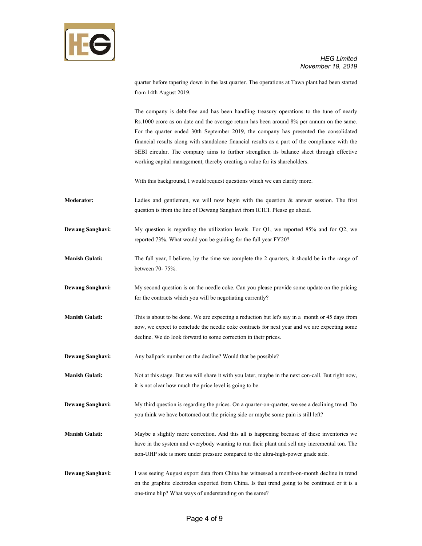

quarter before tapering down in the last quarter. The operations at Tawa plant had been started from 14th August 2019.

The company is debt-free and has been handling treasury operations to the tune of nearly Rs.1000 crore as on date and the average return has been around 8% per annum on the same. For the quarter ended 30th September 2019, the company has presented the consolidated financial results along with standalone financial results as a part of the compliance with the SEBI circular. The company aims to further strengthen its balance sheet through effective working capital management, thereby creating a value for its shareholders.

With this background, I would request questions which we can clarify more.

**Moderator:** Ladies and gentlemen, we will now begin with the question & answer session. The first question is from the line of Dewang Sanghavi from ICICI. Please go ahead.

**Dewang Sanghavi:** My question is regarding the utilization levels. For Q1, we reported 85% and for Q2, we reported 73%. What would you be guiding for the full year FY20?

**Manish Gulati:** The full year, I believe, by the time we complete the 2 quarters, it should be in the range of between 70- 75%.

**Dewang Sanghavi:** My second question is on the needle coke. Can you please provide some update on the pricing for the contracts which you will be negotiating currently?

**Manish Gulati:** This is about to be done. We are expecting a reduction but let's say in a month or 45 days from now, we expect to conclude the needle coke contracts for next year and we are expecting some decline. We do look forward to some correction in their prices.

**Dewang Sanghavi:** Any ballpark number on the decline? Would that be possible?

**Manish Gulati:** Not at this stage. But we will share it with you later, maybe in the next con-call. But right now, it is not clear how much the price level is going to be.

**Dewang Sanghavi:** My third question is regarding the prices. On a quarter-on-quarter, we see a declining trend. Do you think we have bottomed out the pricing side or maybe some pain is still left?

- **Manish Gulati:** Maybe a slightly more correction. And this all is happening because of these inventories we have in the system and everybody wanting to run their plant and sell any incremental ton. The non-UHP side is more under pressure compared to the ultra-high-power grade side.
- **Dewang Sanghavi:** I was seeing August export data from China has witnessed a month-on-month decline in trend on the graphite electrodes exported from China. Is that trend going to be continued or it is a one-time blip? What ways of understanding on the same?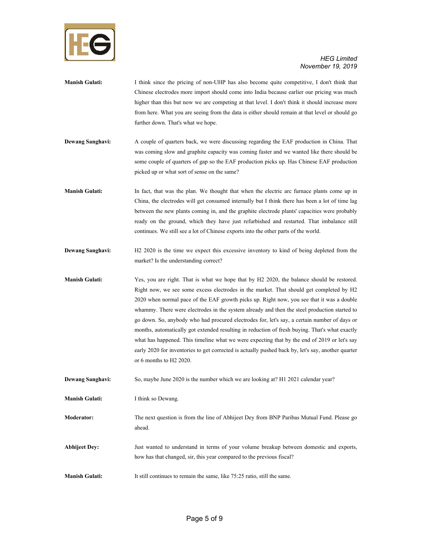

| <b>Manish Gulati:</b>   | I think since the pricing of non-UHP has also become quite competitive, I don't think that<br>Chinese electrodes more import should come into India because earlier our pricing was much<br>higher than this but now we are competing at that level. I don't think it should increase more<br>from here. What you are seeing from the data is either should remain at that level or should go<br>further down. That's what we hope.                                                                                                                                                                                                                                                                                                                                                                                    |
|-------------------------|------------------------------------------------------------------------------------------------------------------------------------------------------------------------------------------------------------------------------------------------------------------------------------------------------------------------------------------------------------------------------------------------------------------------------------------------------------------------------------------------------------------------------------------------------------------------------------------------------------------------------------------------------------------------------------------------------------------------------------------------------------------------------------------------------------------------|
| <b>Dewang Sanghavi:</b> | A couple of quarters back, we were discussing regarding the EAF production in China. That<br>was coming slow and graphite capacity was coming faster and we wanted like there should be<br>some couple of quarters of gap so the EAF production picks up. Has Chinese EAF production<br>picked up or what sort of sense on the same?                                                                                                                                                                                                                                                                                                                                                                                                                                                                                   |
| <b>Manish Gulati:</b>   | In fact, that was the plan. We thought that when the electric arc furnace plants come up in<br>China, the electrodes will get consumed internally but I think there has been a lot of time lag<br>between the new plants coming in, and the graphite electrode plants' capacities were probably<br>ready on the ground, which they have just refurbished and restarted. That imbalance still<br>continues. We still see a lot of Chinese exports into the other parts of the world.                                                                                                                                                                                                                                                                                                                                    |
| <b>Dewang Sanghavi:</b> | H2 2020 is the time we expect this excessive inventory to kind of being depleted from the<br>market? Is the understanding correct?                                                                                                                                                                                                                                                                                                                                                                                                                                                                                                                                                                                                                                                                                     |
| <b>Manish Gulati:</b>   | Yes, you are right. That is what we hope that by H2 2020, the balance should be restored.<br>Right now, we see some excess electrodes in the market. That should get completed by H2<br>2020 when normal pace of the EAF growth picks up. Right now, you see that it was a double<br>whammy. There were electrodes in the system already and then the steel production started to<br>go down. So, anybody who had procured electrodes for, let's say, a certain number of days or<br>months, automatically got extended resulting in reduction of fresh buying. That's what exactly<br>what has happened. This timeline what we were expecting that by the end of 2019 or let's say<br>early 2020 for inventories to get corrected is actually pushed back by, let's say, another quarter<br>or 6 months to $H2$ 2020. |
| <b>Dewang Sanghavi:</b> | So, maybe June 2020 is the number which we are looking at? H1 2021 calendar year?                                                                                                                                                                                                                                                                                                                                                                                                                                                                                                                                                                                                                                                                                                                                      |
| <b>Manish Gulati:</b>   | I think so Dewang.                                                                                                                                                                                                                                                                                                                                                                                                                                                                                                                                                                                                                                                                                                                                                                                                     |
| <b>Moderator:</b>       | The next question is from the line of Abhijeet Dey from BNP Paribas Mutual Fund. Please go<br>ahead.                                                                                                                                                                                                                                                                                                                                                                                                                                                                                                                                                                                                                                                                                                                   |
| <b>Abhijeet Dey:</b>    | Just wanted to understand in terms of your volume breakup between domestic and exports,<br>how has that changed, sir, this year compared to the previous fiscal?                                                                                                                                                                                                                                                                                                                                                                                                                                                                                                                                                                                                                                                       |
| <b>Manish Gulati:</b>   | It still continues to remain the same, like 75:25 ratio, still the same.                                                                                                                                                                                                                                                                                                                                                                                                                                                                                                                                                                                                                                                                                                                                               |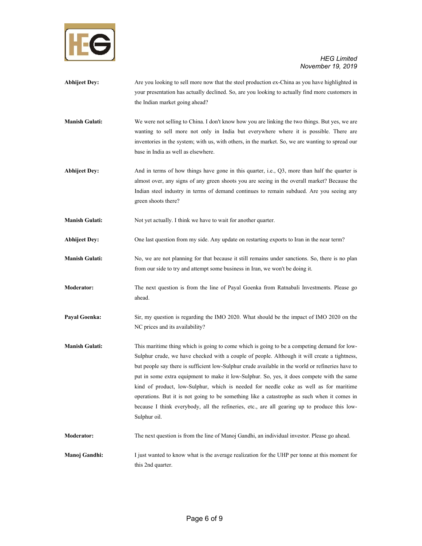

- **Abhijeet Dey:** Are you looking to sell more now that the steel production ex-China as you have highlighted in your presentation has actually declined. So, are you looking to actually find more customers in the Indian market going ahead?
- **Manish Gulati:** We were not selling to China. I don't know how you are linking the two things. But yes, we are wanting to sell more not only in India but everywhere where it is possible. There are inventories in the system; with us, with others, in the market. So, we are wanting to spread our base in India as well as elsewhere.
- **Abhijeet Dey:** And in terms of how things have gone in this quarter, i.e., Q3, more than half the quarter is almost over, any signs of any green shoots you are seeing in the overall market? Because the Indian steel industry in terms of demand continues to remain subdued. Are you seeing any green shoots there?

**Manish Gulati:** Not yet actually. I think we have to wait for another quarter.

- **Abhijeet Dey:** One last question from my side. Any update on restarting exports to Iran in the near term?
- **Manish Gulati:** No, we are not planning for that because it still remains under sanctions. So, there is no plan from our side to try and attempt some business in Iran, we won't be doing it.
- **Moderator:** The next question is from the line of Payal Goenka from Ratnabali Investments. Please go ahead.
- **Payal Goenka:** Sir, my question is regarding the IMO 2020. What should be the impact of IMO 2020 on the NC prices and its availability?
- **Manish Gulati:** This maritime thing which is going to come which is going to be a competing demand for low-Sulphur crude, we have checked with a couple of people. Although it will create a tightness, but people say there is sufficient low-Sulphur crude available in the world or refineries have to put in some extra equipment to make it low-Sulphur. So, yes, it does compete with the same kind of product, low-Sulphur, which is needed for needle coke as well as for maritime operations. But it is not going to be something like a catastrophe as such when it comes in because I think everybody, all the refineries, etc., are all gearing up to produce this low-Sulphur oil.
- **Moderator:** The next question is from the line of Manoj Gandhi, an individual investor. Please go ahead.
- **Manoj Gandhi:** I just wanted to know what is the average realization for the UHP per tonne at this moment for this 2nd quarter.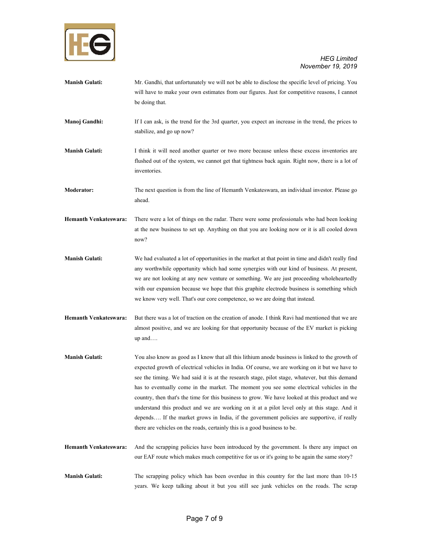

- **Manish Gulati:** Mr. Gandhi, that unfortunately we will not be able to disclose the specific level of pricing. You will have to make your own estimates from our figures. Just for competitive reasons, I cannot be doing that.
- **Manoj Gandhi:** If I can ask, is the trend for the 3rd quarter, you expect an increase in the trend, the prices to stabilize, and go up now?
- **Manish Gulati:** I think it will need another quarter or two more because unless these excess inventories are flushed out of the system, we cannot get that tightness back again. Right now, there is a lot of inventories.

**Moderator:** The next question is from the line of Hemanth Venkateswara, an individual investor. Please go ahead.

**Hemanth Venkateswara:** There were a lot of things on the radar. There were some professionals who had been looking at the new business to set up. Anything on that you are looking now or it is all cooled down now?

- **Manish Gulati:** We had evaluated a lot of opportunities in the market at that point in time and didn't really find any worthwhile opportunity which had some synergies with our kind of business. At present, we are not looking at any new venture or something. We are just proceeding wholeheartedly with our expansion because we hope that this graphite electrode business is something which we know very well. That's our core competence, so we are doing that instead.
- **Hemanth Venkateswara:** But there was a lot of traction on the creation of anode. I think Ravi had mentioned that we are almost positive, and we are looking for that opportunity because of the EV market is picking up and….
- **Manish Gulati:** You also know as good as I know that all this lithium anode business is linked to the growth of expected growth of electrical vehicles in India. Of course, we are working on it but we have to see the timing. We had said it is at the research stage, pilot stage, whatever, but this demand has to eventually come in the market. The moment you see some electrical vehicles in the country, then that's the time for this business to grow. We have looked at this product and we understand this product and we are working on it at a pilot level only at this stage. And it depends…. If the market grows in India, if the government policies are supportive, if really there are vehicles on the roads, certainly this is a good business to be.
- **Hemanth Venkateswara:** And the scrapping policies have been introduced by the government. Is there any impact on our EAF route which makes much competitive for us or it's going to be again the same story?

**Manish Gulati:** The scrapping policy which has been overdue in this country for the last more than 10-15 years. We keep talking about it but you still see junk vehicles on the roads. The scrap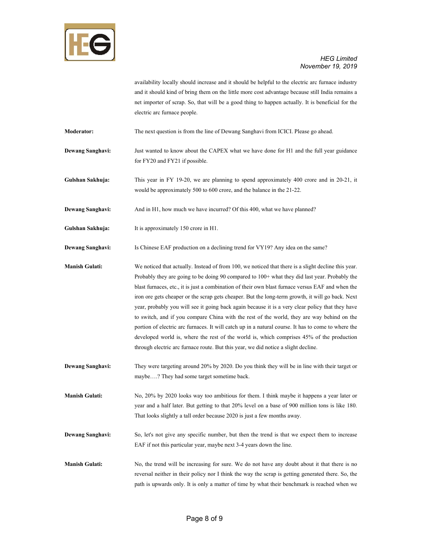

availability locally should increase and it should be helpful to the electric arc furnace industry and it should kind of bring them on the little more cost advantage because still India remains a net importer of scrap. So, that will be a good thing to happen actually. It is beneficial for the electric arc furnace people.

**Moderator:** The next question is from the line of Dewang Sanghavi from ICICI. Please go ahead.

- **Dewang Sanghavi:** Just wanted to know about the CAPEX what we have done for H1 and the full year guidance for FY20 and FY21 if possible.
- **Gulshan Sakhuja:** This year in FY 19-20, we are planning to spend approximately 400 crore and in 20-21, it would be approximately 500 to 600 crore, and the balance in the 21-22.

**Dewang Sanghavi:** And in H1, how much we have incurred? Of this 400, what we have planned?

**Gulshan Sakhuja:** It is approximately 150 crore in H1.

**Dewang Sanghavi:** Is Chinese EAF production on a declining trend for VY19? Any idea on the same?

**Manish Gulati:** We noticed that actually. Instead of from 100, we noticed that there is a slight decline this year. Probably they are going to be doing 90 compared to 100+ what they did last year. Probably the blast furnaces, etc., it is just a combination of their own blast furnace versus EAF and when the iron ore gets cheaper or the scrap gets cheaper. But the long-term growth, it will go back. Next year, probably you will see it going back again because it is a very clear policy that they have to switch, and if you compare China with the rest of the world, they are way behind on the portion of electric arc furnaces. It will catch up in a natural course. It has to come to where the developed world is, where the rest of the world is, which comprises 45% of the production through electric arc furnace route. But this year, we did notice a slight decline.

**Dewang Sanghavi:** They were targeting around 20% by 2020. Do you think they will be in line with their target or maybe….? They had some target sometime back.

**Manish Gulati:** No, 20% by 2020 looks way too ambitious for them. I think maybe it happens a year later or year and a half later. But getting to that 20% level on a base of 900 million tons is like 180. That looks slightly a tall order because 2020 is just a few months away.

- **Dewang Sanghavi:** So, let's not give any specific number, but then the trend is that we expect them to increase EAF if not this particular year, maybe next 3-4 years down the line.
- **Manish Gulati:** No, the trend will be increasing for sure. We do not have any doubt about it that there is no reversal neither in their policy nor I think the way the scrap is getting generated there. So, the path is upwards only. It is only a matter of time by what their benchmark is reached when we